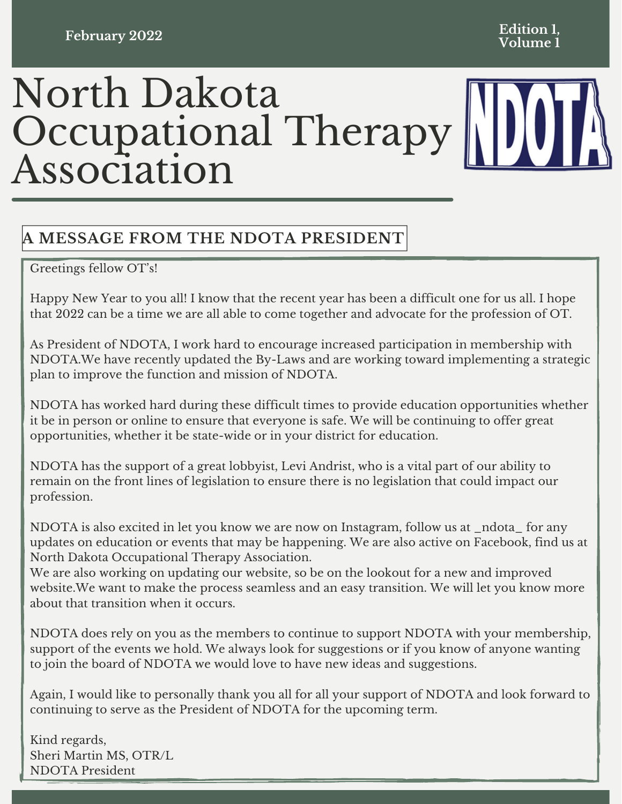### **February 2022**

#### **Edition 1, Volume 1**

# North Dakota Occupational Therapy Association



# **A MESSAGE FROM THE NDOTA PRESIDENT**

Greetings fellow OT's!

Happy New Year to you all! I know that the recent year has been a difficult one for us all. I hope that 2022 can be a time we are all able to come together and advocate for the profession of OT.

As President of NDOTA, I work hard to encourage increased participation in membership with NDOTA.We have recently updated the By-Laws and are working toward implementing a strategic plan to improve the function and mission of NDOTA.

NDOTA has worked hard during these difficult times to provide education opportunities whether it be in person or online to ensure that everyone is safe. We will be continuing to offer great opportunities, whether it be state-wide or in your district for education.

NDOTA has the support of a great lobbyist, Levi Andrist, who is a vital part of our ability to remain on the front lines of legislation to ensure there is no legislation that could impact our profession.

NDOTA is also excited in let you know we are now on Instagram, follow us at \_ndota\_ for any updates on education or events that may be happening. We are also active on Facebook, find us at North Dakota Occupational Therapy Association.

We are also working on updating our website, so be on the lookout for a new and improved website.We want to make the process seamless and an easy transition. We will let you know more about that transition when it occurs.

NDOTA does rely on you as the members to continue to support NDOTA with your membership, support of the events we hold. We always look for suggestions or if you know of anyone wanting to join the board of NDOTA we would love to have new ideas and suggestions.

Again, I would like to personally thank you all for all your support of NDOTA and look forward to continuing to serve as the President of NDOTA for the upcoming term.

Kind regards, Sheri Martin MS, OTR/L NDOTA President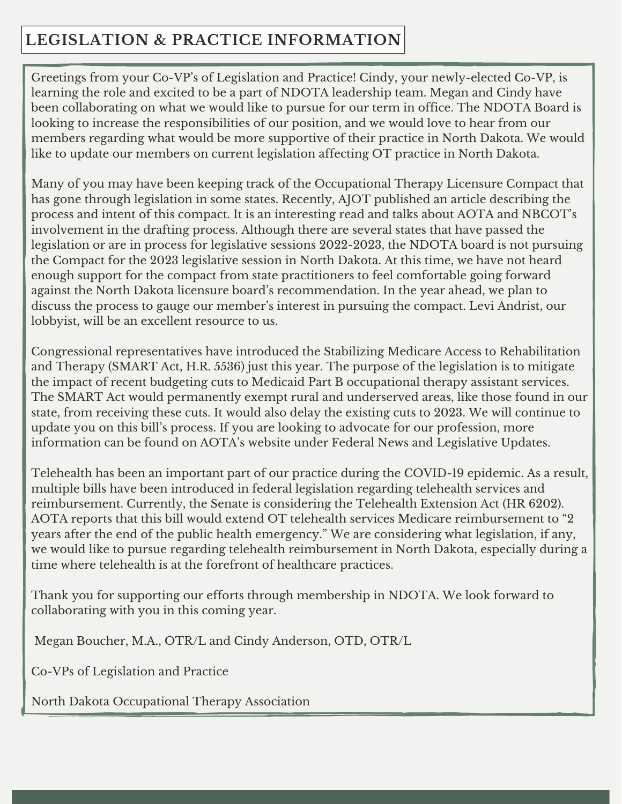# **LEGISLATION & PRACTICE INFORMATION**

Greetings from your Co-VP's of Legislation and Practice! Cindy, your newly-elected Co-VP, is learning the role and excited to be a part of NDOTA leadership team. Megan and Cindy have been collaborating on what we would like to pursue for our term in office. The NDOTA Board is looking to increase the responsibilities of our position, and we would love to hear from our members regarding what would be more supportive of their practice in North Dakota. We would like to update our members on current legislation affecting OT practice in North Dakota.

Many of you may have been keeping track of the Occupational Therapy Licensure Compact that has gone through legislation in some states. Recently, AJOT published an article describing the process and intent of this compact. It is an interesting read and talks about AOTA and NBCOT's involvement in the drafting process. Although there are several states that have passed the legislation or are in process for legislative sessions 2022-2023, the NDOTA board is not pursuing the Compact for the 2023 legislative session in North Dakota. At this time, we have not heard enough support for the compact from state practitioners to feel comfortable going forward against the North Dakota licensure board's recommendation. In the year ahead, we plan to discuss the process to gauge our member's interest in pursuing the compact. Levi Andrist, our lobbyist, will be an excellent resource to us.

Congressional representatives have introduced the Stabilizing Medicare Access to Rehabilitation and Therapy (SMART Act, H.R. 5536) just this year. The purpose of the legislation is to mitigate the impact of recent budgeting cuts to Medicaid Part B occupational therapy assistant services. The SMART Act would permanently exempt rural and underserved areas, like those found in our state, from receiving these cuts. It would also delay the existing cuts to 2023. We will continue to update you on this bill's process. If you are looking to advocate for our profession, more information can be found on AOTA's website under Federal News and Legislative Updates.

Telehealth has been an important part of our practice during the COVID-19 epidemic. As a result, multiple bills have been introduced in federal legislation regarding telehealth services and reimbursement. Currently, the Senate is considering the Telehealth Extension Act (HR 6202). AOTA reports that this bill would extend OT telehealth services Medicare reimbursement to "2 years after the end of the public health emergency." We are considering what legislation, if any, we would like to pursue regarding telehealth reimbursement in North Dakota, especially during a time where telehealth is at the forefront of healthcare practices.

Thank you for supporting our efforts through membership in NDOTA. We look forward to collaborating with you in this coming year.

Megan Boucher, M.A., OTR/L and Cindy Anderson, OTD, OTR/L

Co-VPs of Legislation and Practice

North Dakota Occupational Therapy Association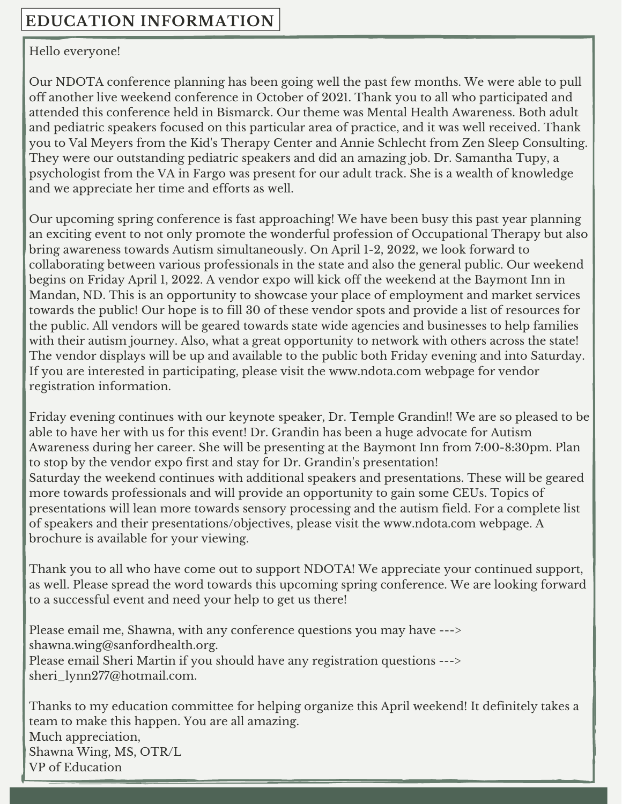### Hello everyone!

Our NDOTA conference planning has been going well the past few months. We were able to pull off another live weekend conference in October of 2021. Thank you to all who participated and attended this conference held in Bismarck. Our theme was Mental Health Awareness. Both adult and pediatric speakers focused on this particular area of practice, and it was well received. Thank you to Val Meyers from the Kid's Therapy Center and Annie Schlecht from Zen Sleep Consulting. They were our outstanding pediatric speakers and did an amazing job. Dr. Samantha Tupy, a psychologist from the VA in Fargo was present for our adult track. She is a wealth of knowledge and we appreciate her time and efforts as well.

Our upcoming spring conference is fast approaching! We have been busy this past year planning an exciting event to not only promote the wonderful profession of Occupational Therapy but also bring awareness towards Autism simultaneously. On April 1-2, 2022, we look forward to collaborating between various professionals in the state and also the general public. Our weekend begins on Friday April 1, 2022. A vendor expo will kick off the weekend at the Baymont Inn in Mandan, ND. This is an opportunity to showcase your place of employment and market services towards the public! Our hope is to fill 30 of these vendor spots and provide a list of resources for the public. All vendors will be geared towards state wide agencies and businesses to help families with their autism journey. Also, what a great opportunity to network with others across the state! The vendor displays will be up and available to the public both Friday evening and into Saturday. If you are interested in participating, please visit the [www.ndota.com](https://na01.safelinks.protection.outlook.com/?url=http%3A%2F%2Fwww.ndota.com%2F&data=04%7C01%7C%7Ca8c37e4096e048d16dc608d9d9f0314a%7C84df9e7fe9f640afb435aaaaaaaaaaaa%7C1%7C0%7C637780447938331873%7CUnknown%7CTWFpbGZsb3d8eyJWIjoiMC4wLjAwMDAiLCJQIjoiV2luMzIiLCJBTiI6Ik1haWwiLCJXVCI6Mn0%3D%7C3000&sdata=d0BM8%2BouhY%2BmUMsZDVHYgTldsMIRKGuhYnArU5njA2Q%3D&reserved=0) webpage for vendor registration information.

Friday evening continues with our keynote speaker, Dr. Temple Grandin!! We are so pleased to be able to have her with us for this event! Dr. Grandin has been a huge advocate for Autism Awareness during her career. She will be presenting at the Baymont Inn from 7:00-8:30pm. Plan to stop by the vendor expo first and stay for Dr. Grandin's presentation! Saturday the weekend continues with additional speakers and presentations. These will be geared more towards professionals and will provide an opportunity to gain some CEUs. Topics of presentations will lean more towards sensory processing and the autism field. For a complete list of speakers and their presentations/objectives, please visit the [www.ndota.com](https://na01.safelinks.protection.outlook.com/?url=http%3A%2F%2Fwww.ndota.com%2F&data=04%7C01%7C%7Ca8c37e4096e048d16dc608d9d9f0314a%7C84df9e7fe9f640afb435aaaaaaaaaaaa%7C1%7C0%7C637780447938331873%7CUnknown%7CTWFpbGZsb3d8eyJWIjoiMC4wLjAwMDAiLCJQIjoiV2luMzIiLCJBTiI6Ik1haWwiLCJXVCI6Mn0%3D%7C3000&sdata=d0BM8%2BouhY%2BmUMsZDVHYgTldsMIRKGuhYnArU5njA2Q%3D&reserved=0) webpage. A brochure is available for your viewing.

Thank you to all who have come out to support NDOTA! We appreciate your continued support, as well. Please spread the word towards this upcoming spring conference. We are looking forward to a successful event and need your help to get us there!

Please email me, Shawna, with any conference questions you may have ---> shawna.wing@sanfordhealth.org. Please email Sheri Martin if you should have any registration questions ---> sheri\_lynn277@hotmail.com.

Thanks to my education committee for helping organize this April weekend! It definitely takes a team to make this happen. You are all amazing. Much appreciation, Shawna Wing, MS, OTR/L VP of Education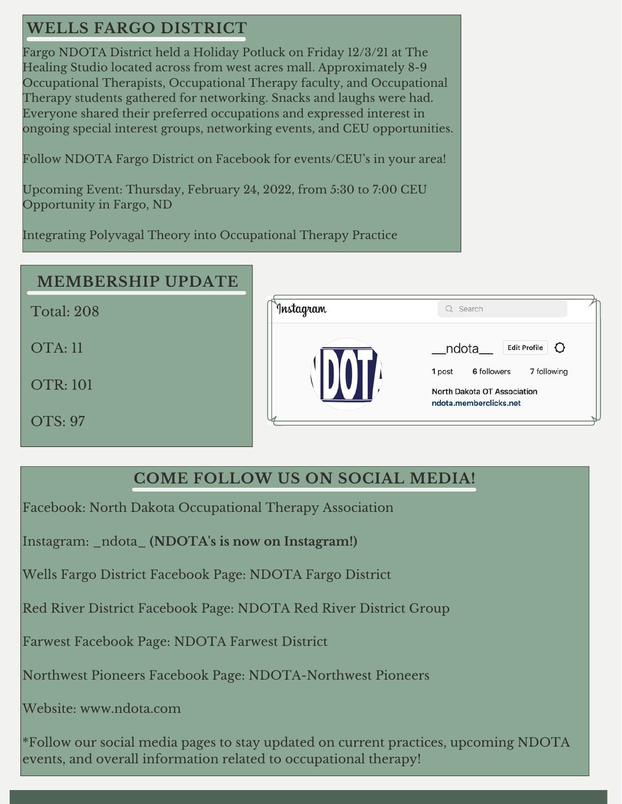# **WELLS FARGO DISTRICT**

Fargo NDOTA District held a Holiday Potluck on Friday 12/3/21 at The Healing Studio located across from west acres mall. Approximately 8-9 Occupational Therapists, Occupational Therapy faculty, and Occupational Therapy students gathered for networking. Snacks and laughs were had. Everyone shared their preferred occupations and expressed interest in ongoing special interest groups, networking events, and CEU opportunities.

Follow NDOTA Fargo District on Facebook for events/CEU's in your area!

Upcoming Event: Thursday, February 24, 2022, from 5:30 to 7:00 CEU Opportunity in Fargo, ND

Integrating Polyvagal Theory into Occupational Therapy Practice

## **MEMBERSHIP UPDATE**

Total: 208

OTA: 11

OTR: 101

OTS: 97

| Instagram | Q Search                                                                                                                                    |
|-----------|---------------------------------------------------------------------------------------------------------------------------------------------|
|           | ndota__<br>O<br><b>Edit Profile</b><br>6 followers<br>7 following<br>1 post<br><b>North Dakota OT Association</b><br>ndota.memberclicks.net |

## **COME FOLLOW US ON SOCIAL MEDIA!**

Facebook: North Dakota Occupational Therapy Association

Instagram: \_ndota\_ **(NDOTA's is now on Instagram!)**

Wells Fargo District Facebook Page: NDOTA Fargo District

Red River District Facebook Page: NDOTA Red River District Group

Farwest Facebook Page: NDOTA Farwest District

Northwest Pioneers Facebook Page: NDOTA-Northwest Pioneers

Website: [www.ndota.com](http://www.ndota.com/)

\*Follow our social media pages to stay updated on current practices, upcoming NDOTA events, and overall information related to occupational therapy!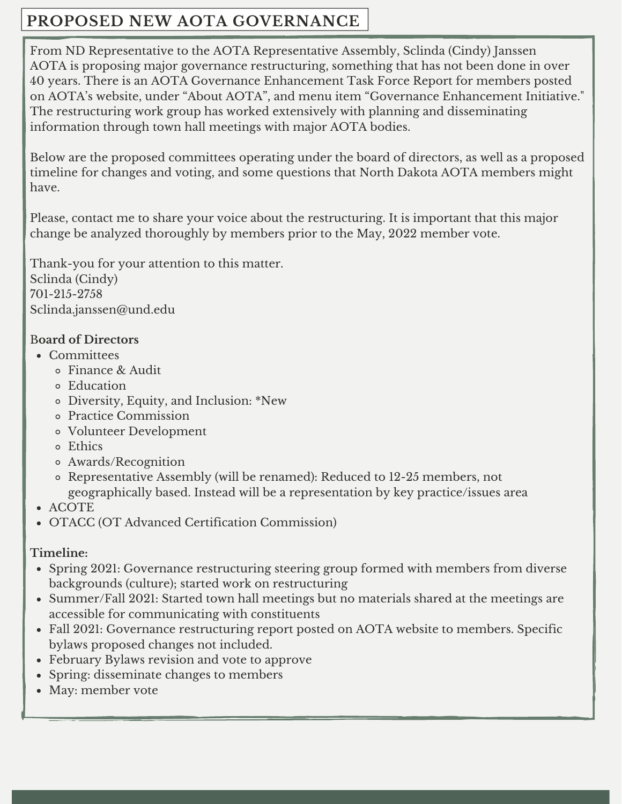# **PROPOSED NEW AOTA GOVERNANCE**

From ND Representative to the AOTA Representative Assembly, Sclinda (Cindy) Janssen AOTA is proposing major governance restructuring, something that has not been done in over 40 years. There is an AOTA Governance [Enhancement](https://www.aota.org/AboutAOTA/Governance-Enhancement-Initiative.aspx) Task Force Report for members posted on AOTA's website, under "About AOTA", and menu item "Governance Enhancement Initiative." The restructuring work group has worked extensively with planning and disseminating information through town hall meetings with major AOTA bodies.

Below are the proposed committees operating under the board of directors, as well as a proposed timeline for changes and voting, and some questions that North Dakota AOTA members might have.

Please, contact me to share your voice about the restructuring. It is important that this major change be analyzed thoroughly by members prior to the May, 2022 member vote.

Thank-you for your attention to this matter. Sclinda (Cindy) 701-215-2758 Sclinda.janssen@und.edu

## B**oard of Directors**

- Committees
	- Finance & Audit
	- Education
	- Diversity, Equity, and Inclusion: \*New
	- Practice Commission
	- Volunteer Development
	- Ethics
	- Awards/Recognition
	- Representative Assembly (will be renamed): Reduced to 12-25 members, not geographically based. Instead will be a representation by key practice/issues area
- ACOTE
- OTACC (OT Advanced Certification Commission)

## **Timeline:**

- Spring 2021: Governance restructuring steering group formed with members from diverse backgrounds (culture); started work on restructuring
- Summer/Fall 2021: Started town hall meetings but no materials shared at the meetings are accessible for communicating with constituents
- Fall 2021: Governance restructuring report posted on AOTA website to members. Specific bylaws proposed changes not included.
- February Bylaws revision and vote to approve
- Spring: disseminate changes to members
- May: member vote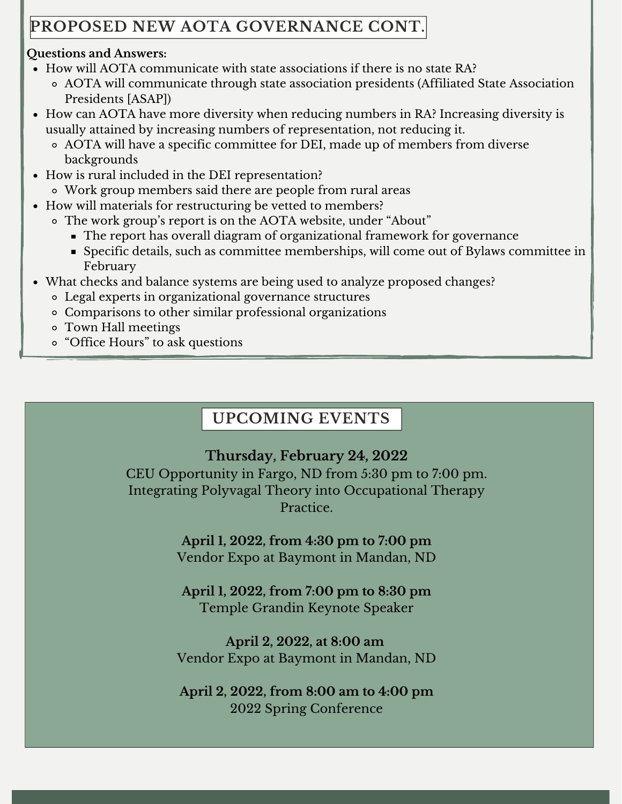# **PROPOSED NEW AOTA GOVERNANCE CONT.**

## **Questions and Answers:**

- How will AOTA communicate with state associations if there is no state RA?
	- AOTA will communicate through state association presidents (Affiliated State Association Presidents [ASAP])
- How can AOTA have more diversity when reducing numbers in RA? Increasing diversity is usually attained by increasing numbers of representation, not reducing it.
	- AOTA will have a specific committee for DEI, made up of members from diverse backgrounds
- How is rural included in the DEI representation?
	- Work group members said there are people from rural areas
- How will materials for restructuring be vetted to members?
	- The work group's report is on the AOTA website, under "About"
		- The report has overall diagram of organizational framework for governance
		- Specific details, such as committee memberships, will come out of Bylaws committee in February
- What checks and balance systems are being used to analyze proposed changes?
	- Legal experts in organizational governance structures
	- Comparisons to other similar professional organizations
	- Town Hall meetings
	- "Office Hours" to ask questions

# **UPCOMING EVENTS**

# **Thursday, February 24, 2022**

CEU Opportunity in Fargo, ND from 5:30 pm to 7:00 pm. Integrating Polyvagal Theory into Occupational Therapy Practice.

> **April 1, 2022, from 4:30 pm to 7:00 pm** Vendor Expo at Baymont in Mandan, ND

**April 1, 2022, from 7:00 pm to 8:30 pm** Temple Grandin Keynote Speaker

**April 2, 2022, at 8:00 am** Vendor Expo at Baymont in Mandan, ND

**April 2, 2022, from 8:00 am to 4:00 pm** 2022 Spring Conference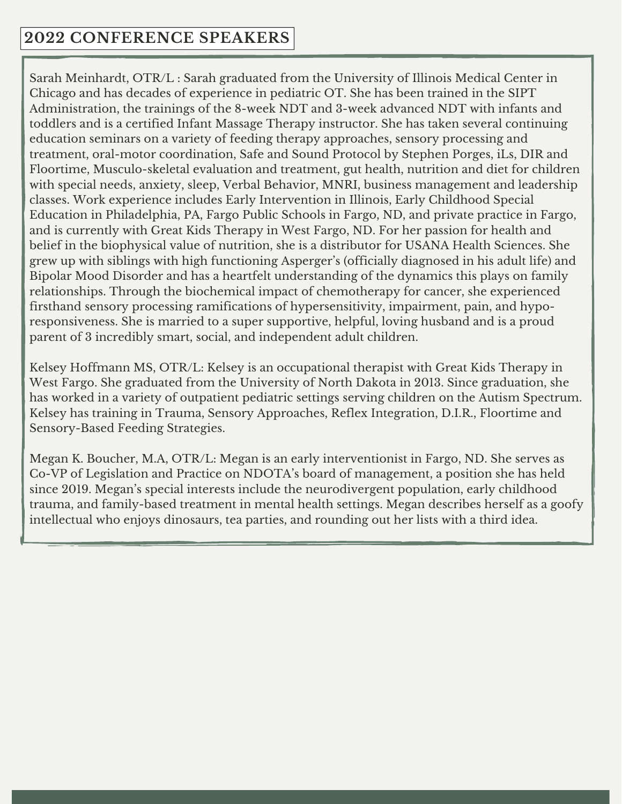# **2022 CONFERENCE SPEAKERS**

Sarah Meinhardt, OTR/L : Sarah graduated from the University of Illinois Medical Center in Chicago and has decades of experience in pediatric OT. She has been trained in the SIPT Administration, the trainings of the 8-week NDT and 3-week advanced NDT with infants and toddlers and is a certified Infant Massage Therapy instructor. She has taken several continuing education seminars on a variety of feeding therapy approaches, sensory processing and treatment, oral-motor coordination, Safe and Sound Protocol by Stephen Porges, iLs, DIR and Floortime, Musculo-skeletal evaluation and treatment, gut health, nutrition and diet for children with special needs, anxiety, sleep, Verbal Behavior, MNRI, business management and leadership classes. Work experience includes Early Intervention in Illinois, Early Childhood Special Education in Philadelphia, PA, Fargo Public Schools in Fargo, ND, and private practice in Fargo, and is currently with Great Kids Therapy in West Fargo, ND. For her passion for health and belief in the biophysical value of nutrition, she is a distributor for USANA Health Sciences. She grew up with siblings with high functioning Asperger's (officially diagnosed in his adult life) and Bipolar Mood Disorder and has a heartfelt understanding of the dynamics this plays on family relationships. Through the biochemical impact of chemotherapy for cancer, she experienced firsthand sensory processing ramifications of hypersensitivity, impairment, pain, and hyporesponsiveness. She is married to a super supportive, helpful, loving husband and is a proud parent of 3 incredibly smart, social, and independent adult children.

Kelsey Hoffmann MS, OTR/L: Kelsey is an occupational therapist with Great Kids Therapy in West Fargo. She graduated from the University of North Dakota in 2013. Since graduation, she has worked in a variety of outpatient pediatric settings serving children on the Autism Spectrum. Kelsey has training in Trauma, Sensory Approaches, Reflex Integration, D.I.R., Floortime and Sensory-Based Feeding Strategies.

Megan K. Boucher, M.A, OTR/L: Megan is an early interventionist in Fargo, ND. She serves as Co-VP of Legislation and Practice on NDOTA's board of management, a position she has held since 2019. Megan's special interests include the neurodivergent population, early childhood trauma, and family-based treatment in mental health settings. Megan describes herself as a goofy intellectual who enjoys dinosaurs, tea parties, and rounding out her lists with a third idea.